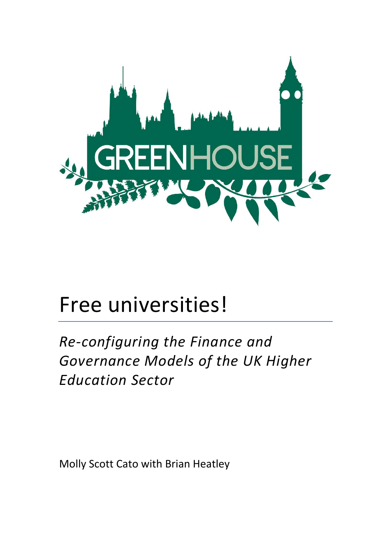

# Free universities!

**Re-configuring the Finance and** Governance Models of the UK Higher *Education Sector*

Molly Scott Cato with Brian Heatley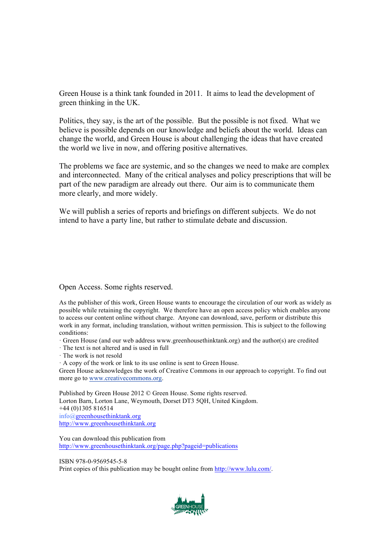Green House is a think tank founded in 2011. It aims to lead the development of green thinking in the UK.

Politics, they say, is the art of the possible. But the possible is not fixed. What we believe is possible depends on our knowledge and beliefs about the world. Ideas can change the world, and Green House is about challenging the ideas that have created the world we live in now, and offering positive alternatives.

The problems we face are systemic, and so the changes we need to make are complex and interconnected. Many of the critical analyses and policy prescriptions that will be part of the new paradigm are already out there. Our aim is to communicate them more clearly, and more widely.

We will publish a series of reports and briefings on different subjects. We do not intend to have a party line, but rather to stimulate debate and discussion.

Open Access. Some rights reserved.

As the publisher of this work, Green House wants to encourage the circulation of our work as widely as possible while retaining the copyright. We therefore have an open access policy which enables anyone to access our content online without charge. Anyone can download, save, perform or distribute this work in any format, including translation, without written permission. This is subject to the following conditions:

· Green House (and our web address www.greenhousethinktank.org) and the author(s) are credited

· The text is not altered and is used in full

· The work is not resold

· A copy of the work or link to its use online is sent to Green House.

Green House acknowledges the work of Creative Commons in our approach to copyright. To find out more go to www.creativecommons.org.

Published by Green House 2012 © Green House. Some rights reserved. Lorton Barn, Lorton Lane, Weymouth, Dorset DT3 5QH, United Kingdom. +44 (0)1305 816514 info@greenhousethinktank.org http://www.greenhousethinktank.org

You can download this publication from http://www.greenhousethinktank.org/page.php?pageid=publications

ISBN 978-0-9569545-5-8 Print copies of this publication may be bought online from http://www.lulu.com/.

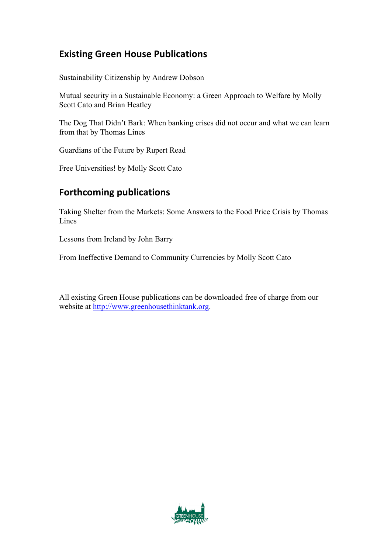## **Existing Green House Publications**

Sustainability Citizenship by Andrew Dobson

Mutual security in a Sustainable Economy: a Green Approach to Welfare by Molly Scott Cato and Brian Heatley

The Dog That Didn't Bark: When banking crises did not occur and what we can learn from that by Thomas Lines

Guardians of the Future by Rupert Read

Free Universities! by Molly Scott Cato

## **Forthcoming publications**

Taking Shelter from the Markets: Some Answers to the Food Price Crisis by Thomas **Lines** 

Lessons from Ireland by John Barry

From Ineffective Demand to Community Currencies by Molly Scott Cato

All existing Green House publications can be downloaded free of charge from our website at http://www.greenhousethinktank.org.

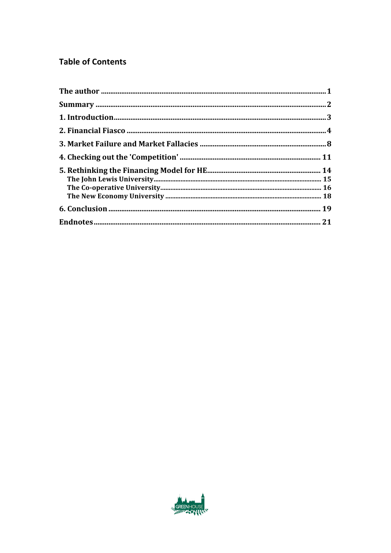## **Table of Contents**

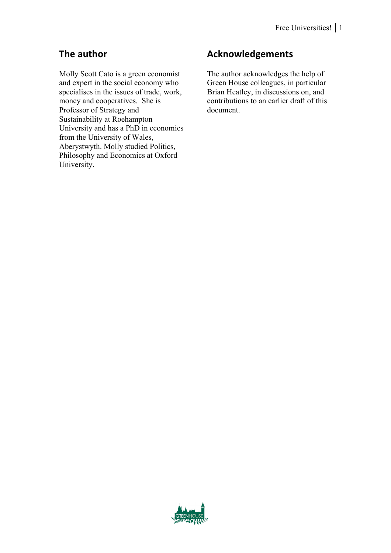# **The author**

Molly Scott Cato is a green economist and expert in the social economy who specialises in the issues of trade, work, money and cooperatives. She is Professor of Strategy and Sustainability at Roehampton University and has a PhD in economics from the University of Wales, Aberystwyth. Molly studied Politics, Philosophy and Economics at Oxford University.

# **Acknowledgements**

The author acknowledges the help of Green House colleagues, in particular Brian Heatley, in discussions on, and contributions to an earlier draft of this document.

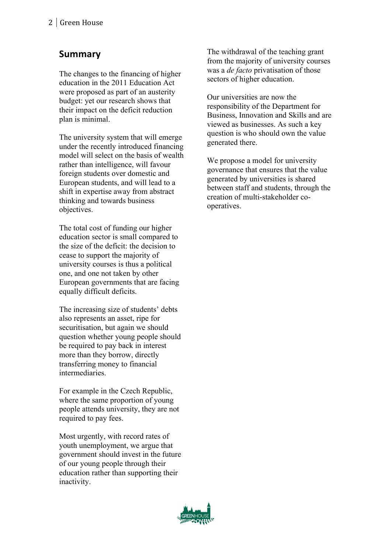# **Summary**

The changes to the financing of higher education in the 2011 Education Act were proposed as part of an austerity budget: yet our research shows that their impact on the deficit reduction plan is minimal.

The university system that will emerge under the recently introduced financing model will select on the basis of wealth rather than intelligence, will favour foreign students over domestic and European students, and will lead to a shift in expertise away from abstract thinking and towards business objectives.

The total cost of funding our higher education sector is small compared to the size of the deficit: the decision to cease to support the majority of university courses is thus a political one, and one not taken by other European governments that are facing equally difficult deficits.

The increasing size of students' debts also represents an asset, ripe for securitisation, but again we should question whether young people should be required to pay back in interest more than they borrow, directly transferring money to financial intermediaries.

For example in the Czech Republic, where the same proportion of young people attends university, they are not required to pay fees.

Most urgently, with record rates of youth unemployment, we argue that government should invest in the future of our young people through their education rather than supporting their inactivity.

The withdrawal of the teaching grant from the majority of university courses was a *de facto* privatisation of those sectors of higher education.

Our universities are now the responsibility of the Department for Business, Innovation and Skills and are viewed as businesses. As such a key question is who should own the value generated there.

We propose a model for university governance that ensures that the value generated by universities is shared between staff and students, through the creation of multi-stakeholder cooperatives.

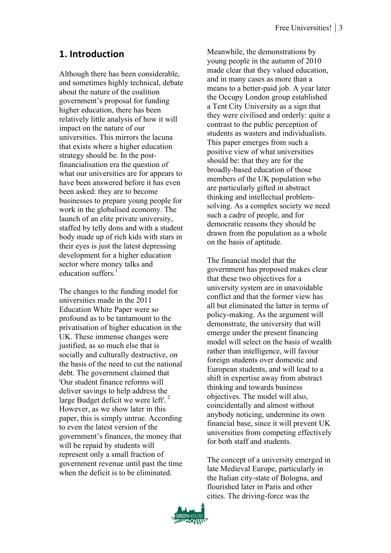## **1. Introduction**

Although there has been considerable, and sometimes highly technical, debate about the nature of the coalition government's proposal for funding higher education, there has been relatively little analysis of how it will impact on the nature of our universities. This mirrors the lacuna that exists where a higher education strategy should be. In the postfinancialisation era the question of what our universities are for appears to have been answered before it has even been asked: they are to become businesses to prepare young people for work in the globalised economy. The launch of an elite private university, staffed by telly dons and with a student body made up of rich kids with stars in their eyes is just the latest depressing development for a higher education sector where money talks and education suffers $1$ 

The changes to the funding model for universities made in the 2011 Education White Paper were so profound as to be tantamount to the privatisation of higher education in the UK. These immense changes were justified, as so much else that is socially and culturally destructive, on the basis of the need to cut the national debt. The government claimed that 'Our student finance reforms will deliver savings to help address the large Budget deficit we were left'. <sup>2</sup> However, as we show later in this paper, this is simply untrue. According to even the latest version of the government's finances, the money that will be repaid by students will represent only a small fraction of government revenue until past the time when the deficit is to be eliminated.

Meanwhile, the demonstrations by young people in the autumn of 2010 made clear that they valued education, and in many cases as more than a means to a better-paid job. A year later the Occupy London group established a Tent City University as a sign that they were civilised and orderly: quite a contrast to the public perception of students as wasters and individualists. This paper emerges from such a positive view of what universities should be: that they are for the broadly-based education of those members of the UK population who are particularly gifted in abstract thinking and intellectual problemsolving. As a complex society we need such a cadre of people, and for democratic reasons they should be drawn from the population as a whole on the basis of aptitude.

The financial model that the government has proposed makes clear that these two objectives for a university system are in unavoidable conflict and that the former view has all but eliminated the latter in terms of policy-making. As the argument will demonstrate, the university that will emerge under the present financing model will select on the basis of wealth rather than intelligence, will favour foreign students over domestic and European students, and will lead to a shift in expertise away from abstract thinking and towards business objectives. The model will also, coincidentally and almost without anybody noticing, undermine its own financial base, since it will prevent UK universities from competing effectively for both staff and students.

The concept of a university emerged in late Medieval Europe, particularly in the Italian city-state of Bologna, and flourished later in Paris and other cities. The driving-force was the

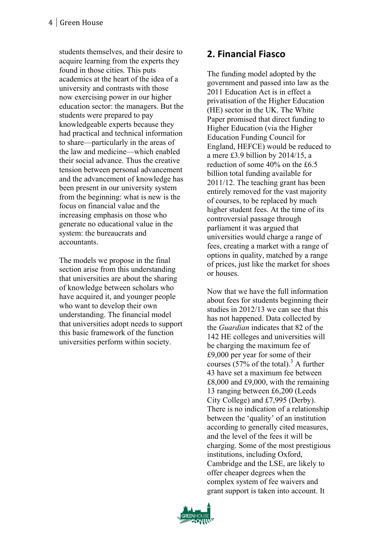students themselves, and their desire to acquire learning from the experts they found in those cities. This puts academics at the heart of the idea of a university and contrasts with those now exercising power in our higher education sector: the managers. But the students were prepared to pay knowledgeable experts because they had practical and technical information to share —particularly in the areas of the law and medicine —which enabled their social advance. Thus the creative tension between personal advancement and the advancement of knowledge has been present in our university system from the beginning: what is new is the focus on financial value and the increasing emphasis on those who generate no educational value in the system: the bureaucrats and accountants.

The models we propose in the final section arise from this understanding that universities are about the sharing of knowledge between scholars who have acquired it, and younger people who want to develop their own understanding. The financial model that universities adopt needs to support this basic framework of the function universities perform within society.

## **2. Financial Fiasco**

The funding model adopted by the government and passed into law as the 2011 Education Act is in effect a privatisation of the Higher Education (HE) sector in the UK. The White Paper promised that direct funding to Higher Education (via the Higher Education Funding Council for England, HEFCE) would be reduced to a mere £3.9 billion by 2014/15, a reduction of some 40% on the £6.5 billion total funding available for 2011/12. The teaching grant has been entirely removed for the vast majority of courses, to be replaced by much higher student fees. At the time of its controversial passage through parliament it was argued that universities would charge a range of fees, creating a market with a range of options in quality, matched by a range of prices, just like the market for shoes or houses.

Now that we have the full information about fees for students beginning their studies in 2012/13 we can see that this has not happened. Data collected by the *Guardian* indicates that 82 of the 142 HE colleges and universities will be charging the maximum fee of £9,000 per year for some of their courses (57% of the total). <sup>3</sup> A further 43 have set a maximum fee between £8,000 and £9,000, with the remaining 13 ranging between £6,200 (Leeds City College) and £7,995 (Derby). There is no indication of a relationship between the 'quality' of an institution according to generally cited measures, and the level of the fees it will be charging. Some of the most prestigious institutions, including Oxford, Cambridge and the LSE, are likely to offer cheaper degrees when the complex system of fee waivers and grant support is taken into account. It

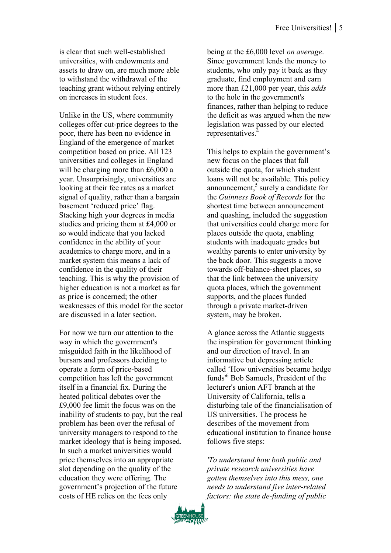is clear that such well-established universities, with endowments and assets to draw on, are much more able to withstand the withdrawal of the teaching grant without relying entirely on increases in student fees.

Unlike in the US, where community colleges offer cut-price degrees to the poor, there has been no evidence in England of the emergence of market competition based on price. All 123 universities and colleges in England will be charging more than £6,000 a year. Unsurprisingly, universities are looking at their fee rates as a market signal of quality, rather than a bargain basement 'reduced price' flag. Stacking high your degrees in media studies and pricing them at £4,000 or so would indicate that you lacked confidence in the ability of your academics to charge more, and in a market system this means a lack of confidence in the quality of their teaching. This is why the provision of higher education is not a market as far as price is concerned; the other weaknesses of this model for the sector are discussed in a later section.

For now we turn our attention to the way in which the government's misguided faith in the likelihood of bursars and professors deciding to operate a form of price-based competition has left the government itself in a financial fix. During the heated political debates over the £9,000 fee limit the focus was on the inability of students to pay, but the real problem has been over the refusal of university managers to respond to the market ideology that is being imposed. In such a market universities would price themselves into an appropriate slot depending on the quality of the education they were offering. The government's projection of the future costs of HE relies on the fees only

being at the £6,000 level *on average*. Since government lends the money to students, who only pay it back as they graduate, find employment and earn more than £21,000 per year, this *adds* to the hole in the government's finances, rather than helping to reduce the deficit as was argued when the new legislation was passed by our elected representatives.4

This helps to explain the government's new focus on the places that fall outside the quota, for which student loans will not be available. This policy announcement, $5$  surely a candidate for the *Guinness Book of Records* for the shortest time between announcement and quashing, included the suggestion that universities could charge more for places outside the quota, enabling students with inadequate grades but wealthy parents to enter university by the back door. This suggests a move towards off-balance-sheet places, so that the link between the university quota places, which the government supports, and the places funded through a private market-driven system, may be broken.

A glance across the Atlantic suggests the inspiration for government thinking and our direction of travel. In an informative but depressing article called 'How universities became hedge funds<sup>'6</sup> Bob Samuels, President of the lecturer's union AFT branch at the University of California, tells a disturbing tale of the financialisation of US universities. The process he describes of the movement from educational institution to finance house follows five steps:

*'To understand how both public and private research universities have gotten themselves into this mess, one needs to understand five inter-related factors: the state de-funding of public* 

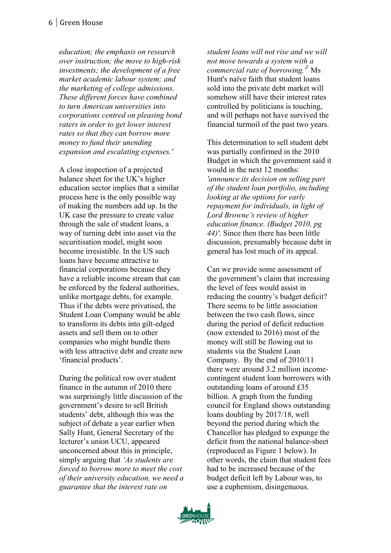*education; the emphasis on research over instruction; the move to high-risk investments; the development of a free market academic labour system; and the marketing of college admissions. These different forces have combined to turn American universities into corporations centred on pleasing bond raters in order to get lower interest rates so that they can borrow more money to fund their unending expansion and escalating expenses.'*

A close inspection of a projected balance sheet for the UK's higher education sector implies that a similar process here is the only possible way of making the numbers add up. In the UK case the pressure to create value through the sale of student loans, a way of turning debt into asset via the securitisation model, might soon become irresistible. In the US such loans have become attractive to financial corporations because they have a reliable income stream that can be enforced by the federal authorities, unlike mortgage debts, for example. Thus if the debts were privatised, the Student Loan Company would be able to transform its debts into gilt-edged assets and sell them on to other companies who might bundle them with less attractive debt and create new 'financial products'.

During the political row over student finance in the autumn of 2010 there was surprisingly little discussion of the government's desire to sell British students' debt, although this was the subject of debate a year earlier when Sally Hunt, General Secretary of the lecturer's union UCU, appeared unconcerned about this in principle, simply arguing that *'As students are forced to borrow more to meet the cost of their university education, we need a guarantee that the interest rate on* 

*student loans will not rise and we will not move towards a system with a commercial rate of borrowing.'*<sup>7</sup> Ms Hunt's naïve faith that student loans sold into the private debt market will somehow still have their interest rates controlled by politicians is touching, and will perhaps not have survived the financial turmoil of the past two years.

This determination to sell student debt was partially confirmed in the 2010 Budget in which the government said it would in the next 12 months: *'announce its decision on selling part of the student loan portfolio, including looking at the options for early repayment for individuals, in light of Lord Browne's review of higher education finance. (Budget 2010, pg 44)'*. Since then there has been little discussion, presumably because debt in general has lost much of its appeal.

Can we provide some assessment of the government's claim that increasing the level of fees would assist in reducing the country's budget deficit? There seems to be little association between the two cash flows, since during the period of deficit reduction (now extended to 2016) most of the money will still be flowing out to students via the Student Loan Company. By the end of 2010/11 there were around 3.2 million incomecontingent student loan borrowers with outstanding loans of around £35 billion. A graph from the funding council for England shows outstanding loans doubling by 2017/18, well beyond the period during which the Chancellor has pledged to expunge the deficit from the national balance-sheet (reproduced as Figure 1 below). In other words, the claim that student fees had to be increased because of the budget deficit left by Labour was, to use a euphemism, disingenuous.

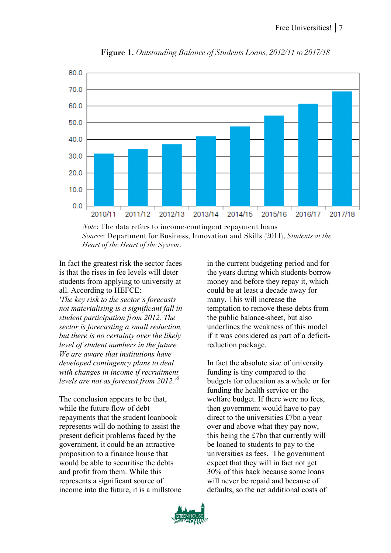

 **Figure 1.** *Outstanding Balance of Students Loans, 2012/11 to 2017/18*

*Note*: The data refers to income-contingent repayment loans *Source*: Department for Business, Innovation and Skills (2011), *Students at the Heart of the Heart of the System*.

In fact the greatest risk the sector faces is that the rises in fee levels will deter students from applying to university at all. According to HEFCE:

*'The key risk to the sector's forecasts not materialising is a significant fall in student participation from 2012. The sector is forecasting a small reduction, but there is no certainty over the likely level of student numbers in the future. We are aware that institutions have developed contingency plans to deal with changes in income if recruitment levels are not as forecast from 2012.'*<sup>8</sup>

The conclusion appears to be that, while the future flow of debt repayments that the student loanbook represents will do nothing to assist the present deficit problems faced by the government, it could be an attractive proposition to a finance house that would be able to securitise the debts and profit from them. While this represents a significant source of income into the future, it is a millstone

in the current budgeting period and for the years during which students borrow money and before they repay it, which could be at least a decade away for many. This will increase the temptation to remove these debts from the public balance-sheet, but also underlines the weakness of this model if it was considered as part of a deficitreduction package.

In fact the absolute size of university funding is tiny compared to the budgets for education as a whole or for funding the health service or the welfare budget. If there were no fees, then government would have to pay direct to the universities £7bn a year over and above what they pay now, this being the £7bn that currently will be loaned to students to pay to the universities as fees. The government expect that they will in fact not get 30% of this back because some loans will never be repaid and because of defaults, so the net additional costs of

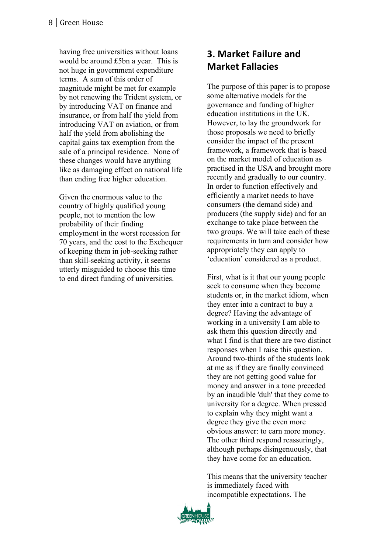having free universities without loans would be around £5bn a year. This is not huge in government expenditure terms. A sum of this order of magnitude might be met for example by not renewing the Trident system, or by introducing VAT on finance and insurance, or from half the yield from introducing VAT on aviation, or from half the yield from abolishing the capital gains tax exemption from the sale of a principal residence. None of these changes would have anything like as damaging effect on national life than ending free higher education.

Given the enormous value to the country of highly qualified young people, not to mention the low probability of their finding employment in the worst recession for 70 years, and the cost to the Exchequer of keeping them in job -seeking rather than skill -seeking activity, it seems utterly misguided to choose this time to end direct funding of universities.

# **3. Market Failure and Market Fallacies**

The purpose of this paper is to propose some alternative models for the governance and funding of higher education institutions in the UK. However, to lay the groundwork for those proposals we need to briefly consider the impact of the present framework, a framework that is based on the market model of education as practised in the USA and brought more recently and gradually to our country. In order to function effectively and efficiently a market needs to have consumers (the demand side) and producers (the supply side) and for an exchange to take place between the two groups. We will take each of these requirements in turn and consider how appropriately they can apply to 'education' considered as a product.

First, what is it that our young people seek to consume when they become students or, in the market idiom, when they enter into a contract to buy a degree? Having the advantage of working in a university I am able to ask them this question directly and what I find is that there are two distinct responses when I raise this question. Around two -thirds of the students look at me as if they are finally convinced they are not getting good value for money and answer in a tone preceded by an inaudible 'duh' that they come to university for a degree. When pressed to explain why they might want a degree they give the even more obvious answer: to earn more money. The other third respond reassuringly, although perhaps disingenuously, that they have come for an education.

This means that the university teacher is immediately faced with incompatible expectations. The

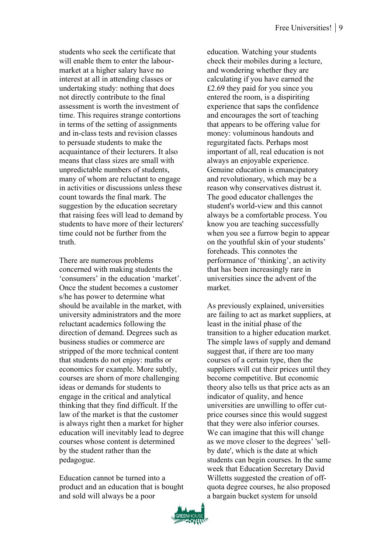students who seek the certificate that will enable them to enter the labourmarket at a higher salary have no interest at all in attending classes or undertaking study: nothing that does not directly contribute to the final assessment is worth the investment of time. This requires strange contortions in terms of the setting of assignments and in-class tests and revision classes to persuade students to make the acquaintance of their lecturers. It also means that class sizes are small with unpredictable numbers of students, many of whom are reluctant to engage in activities or discussions unless these count towards the final mark. The suggestion by the education secretary that raising fees will lead to demand by students to have more of their lecturers' time could not be further from the truth.

There are numerous problems concerned with making students the 'consumers' in the education 'market'. Once the student becomes a customer s/he has power to determine what should be available in the market, with university administrators and the more reluctant academics following the direction of demand. Degrees such as business studies or commerce are stripped of the more technical content that students do not enjoy: maths or economics for example. More subtly, courses are shorn of more challenging ideas or demands for students to engage in the critical and analytical thinking that they find difficult. If the law of the market is that the customer is always right then a market for higher education will inevitably lead to degree courses whose content is determined by the student rather than the pedagogue.

Education cannot be turned into a product and an education that is bought and sold will always be a poor

education. Watching your students check their mobiles during a lecture, and wondering whether they are calculating if you have earned the £2.69 they paid for you since you entered the room, is a dispiriting experience that saps the confidence and encourages the sort of teaching that appears to be offering value for money: voluminous handouts and regurgitated facts. Perhaps most important of all, real education is not always an enjoyable experience. Genuine education is emancipatory and revolutionary, which may be a reason why conservatives distrust it. The good educator challenges the student's world-view and this cannot always be a comfortable process. You know you are teaching successfully when you see a furrow begin to appear on the youthful skin of your students' foreheads. This connotes the performance of 'thinking', an activity that has been increasingly rare in universities since the advent of the market.

As previously explained, universities are failing to act as market suppliers, at least in the initial phase of the transition to a higher education market. The simple laws of supply and demand suggest that, if there are too many courses of a certain type, then the suppliers will cut their prices until they become competitive. But economic theory also tells us that price acts as an indicator of quality, and hence universities are unwilling to offer cutprice courses since this would suggest that they were also inferior courses. We can imagine that this will change as we move closer to the degrees' 'sellby date', which is the date at which students can begin courses. In the same week that Education Secretary David Willetts suggested the creation of offquota degree courses, he also proposed a bargain bucket system for unsold

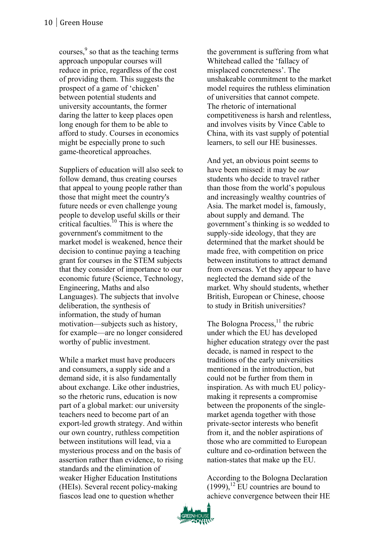courses, $\frac{9}{2}$  so that as the teaching terms approach unpopular courses will reduce in price, regardless of the cost of providing them. This suggests the prospect of a game of 'chicken' between potential students and university accountants, the former daring the latter to keep places open long enough for them to be able to afford to study. Courses in economics might be especially prone to such game-theoretical approaches.

Suppliers of education will also seek to follow demand, thus creating courses that appeal to young people rather than those that might meet the country's future needs or even challenge young people to develop useful skills or their critical faculties.<sup>10</sup> This is where the government's commitment to the market model is weakened, hence their decision to continue paying a teaching grant for courses in the STEM subjects that they consider of importance to our economic future (Science, Technology, Engineering, Maths and also Languages). The subjects that involve deliberation, the synthesis of information, the study of human motivation—subjects such as history, for example—are no longer considered worthy of public investment.

While a market must have producers and consumers, a supply side and a demand side, it is also fundamentally about exchange. Like other industries, so the rhetoric runs, education is now part of a global market: our university teachers need to become part of an export-led growth strategy. And within our own country, ruthless competition between institutions will lead, via a mysterious process and on the basis of assertion rather than evidence, to rising standards and the elimination of weaker Higher Education Institutions (HEIs). Several recent policy-making fiascos lead one to question whether

the government is suffering from what Whitehead called the 'fallacy of misplaced concreteness'. The unshakeable commitment to the market model requires the ruthless elimination of universities that cannot compete. The rhetoric of international competitiveness is harsh and relentless, and involves visits by Vince Cable to China, with its vast supply of potential learners, to sell our HE businesses.

And yet, an obvious point seems to have been missed: it may be *our* students who decide to travel rather than those from the world's populous and increasingly wealthy countries of Asia. The market model is, famously, about supply and demand. The government's thinking is so wedded to supply-side ideology, that they are determined that the market should be made free, with competition on price between institutions to attract demand from overseas. Yet they appear to have neglected the demand side of the market. Why should students, whether British, European or Chinese, choose to study in British universities?

The Bologna Process, $^{11}$  the rubric under which the EU has developed higher education strategy over the past decade, is named in respect to the traditions of the early universities mentioned in the introduction, but could not be further from them in inspiration. As with much EU policymaking it represents a compromise between the proponents of the singlemarket agenda together with those private-sector interests who benefit from it, and the nobler aspirations of those who are committed to European culture and co-ordination between the nation-states that make up the EU.

According to the Bologna Declaration  $(1999)$ ,<sup>12</sup> EU countries are bound to achieve convergence between their HE

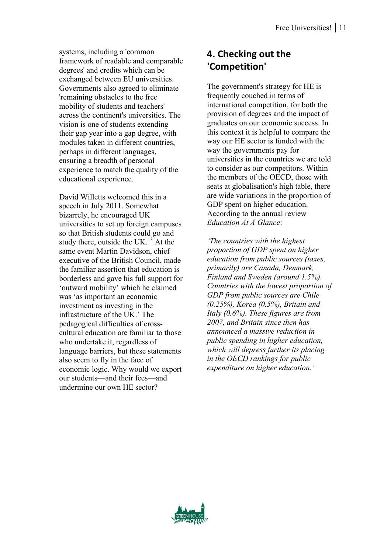systems, including a 'common framework of readable and comparable degrees' and credits which can be exchanged between EU universities. Governments also agreed to eliminate 'remaining obstacles to the free mobility of students and teachers' across the continent's universities. The vision is one of students extending their gap year into a gap degree, with modules taken in different countries, perhaps in different languages, ensuring a breadth of personal experience to match the quality of the educational experience.

David Willetts welcomed this in a speech in July 2011. Somewhat bizarrely, he encouraged UK universities to set up foreign campuses so that British students could go and study there, outside the UK. $^{13}$ At the same event Martin Davidson, chief executive of the British Council, made the familiar assertion that education is borderless and gave his full support for 'outward mobility' which he claimed was 'as important an economic investment as investing in the infrastructure of the UK.' The pedagogical difficulties of crosscultural education are familiar to those who undertake it, regardless of language barriers, but these statements also seem to fly in the face of economic logic. Why would we export our students—and their fees—and undermine our own HE sector?

# **4. Checking out the 'Competition'**

The government's strategy for HE is frequently couched in terms of international competition, for both the provision of degrees and the impact of graduates on our economic success. In this context it is helpful to compare the way our HE sector is funded with the way the governments pay for universities in the countries we are told to consider as our competitors. Within the members of the OECD, those with seats at globalisation's high table, there are wide variations in the proportion of GDP spent on higher education. According to the annual review *Education At A Glance*:

*'The countries with the highest proportion of GDP spent on higher education from public sources (taxes, primarily) are Canada, Denmark, Finland and Sweden (around 1.5%). Countries with the lowest proportion of GDP from public sources are Chile (0.25%), Korea (0.5%), Britain and Italy (0.6%). These figures are from 2007, and Britain since then has announced a massive reduction in public spending in higher education, which will depress further its placing in the OECD rankings for public expenditure on higher education.'*

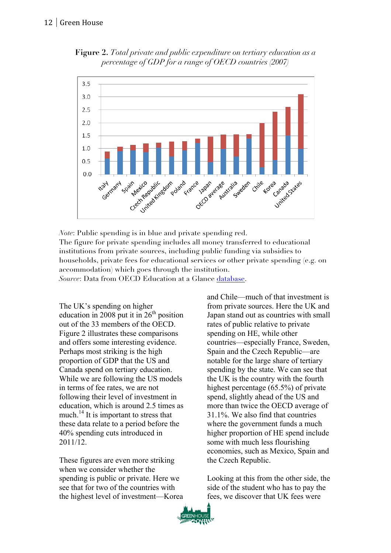



*Note*: Public spending is in blue and private spending red. The figure for private spending includes all money transferred to educational institutions from private sources, including public funding via subsidies to households, private fees for educational services or other private spending (e.g. on accommodation) which goes through the institution. *Source*: Data from OECD Education at a Glance database.

The UK's spending on higher education in 2008 put it in  $26<sup>th</sup>$  position out of the 33 members of the OECD. Figure 2 illustrates these comparisons and offers some interesting evidence. Perhaps most striking is the high proportion of GDP that the US and Canada spend on tertiary education. While we are following the US models in terms of fee rates, we are not following their level of investment in education, which is around 2.5 times as much.<sup>14</sup> It is important to stress that these data relate to a period before the 40% spending cuts introduced in 2011/12.

These figures are even more striking when we consider whether the spending is public or private. Here we see that for two of the countries with the highest level of investment—Korea and Chile—much of that investment is from private sources. Here the UK and Japan stand out as countries with small rates of public relative to private spending on HE, while other countries—especially France, Sweden, Spain and the Czech Republic—are notable for the large share of tertiary spending by the state. We can see that the UK is the country with the fourth highest percentage (65.5%) of private spend, slightly ahead of the US and more than twice the OECD average of 31.1%. We also find that countries where the government funds a much higher proportion of HE spend include some with much less flourishing economies, such as Mexico, Spain and the Czech Republic.

Looking at this from the other side, the side of the student who has to pay the fees, we discover that UK fees were

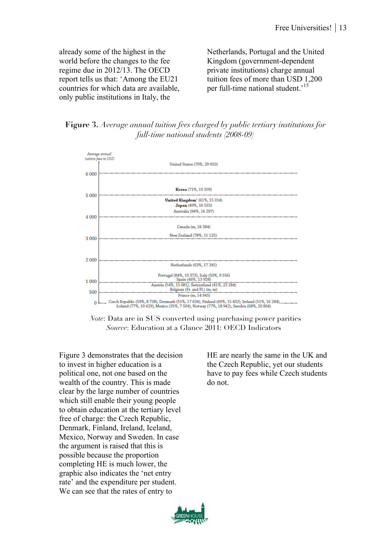already some of the highest in the world before the changes to the fee regime due in 2012/13. The OECD report tells us that: 'Among the EU21 countries for which data are available, only public institutions in Italy, the

Netherlands, Portugal and the United Kingdom (government-dependent private institutions) charge annual tuition fees of more than USD 1,200 per full-time national student.<sup>15</sup>

**Figure 3.** *Average annual tuition fees charged by public tertiary institutions for full-time national students (2008-09)*



*Note*: Data are in \$US converted using purchasing power parities *Source*: Education at a Glance 2011: OECD Indicators

Figure 3 demonstrates that the decision to invest in higher education is a political one, not one based on the wealth of the country. This is made clear by the large number of countries which still enable their young people to obtain education at the tertiary level free of charge: the Czech Republic, Denmark, Finland, Ireland, Iceland, Mexico, Norway and Sweden. In case the argument is raised that this is possible because the proportion completing HE is much lower, the graphic also indicates the 'net entry rate' and the expenditure per student. We can see that the rates of entry to

HE are nearly the same in the UK and the Czech Republic, yet our students have to pay fees while Czech students do not.

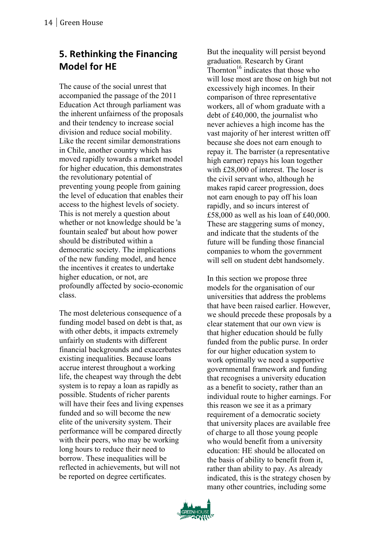# **5. Rethinking the Financing Model for HE**

The cause of the social unrest that accompanied the passage of the 2011 Education Act through parliament was the inherent unfairness of the proposals and their tendency to increase social division and reduce social mobility. Like the recent similar demonstrations in Chile, another country which has moved rapidly towards a market model for higher education, this demonstrates the revolutionary potential of preventing young people from gaining the level of education that enables their access to the highest levels of society. This is not merely a question about whether or not knowledge should be 'a fountain sealed' but about how power should be distributed within a democratic society. The implications of the new funding model, and hence the incentives it creates to undertake higher education, or not, are profoundly affected by socio -economic class.

The most deleterious consequence of a funding model based on debt is that, as with other debts, it impacts extremely unfairly on students with different financial backgrounds and exacerbates existing inequalities. Because loans accrue interest throughout a working life, the cheapest way through the debt system is to repay a loan as rapidly as possible. Students of richer parents will have their fees and living expenses funded and so will become the new elite of the university system. Their performance will be compared directly with their peers, who may be working long hours to reduce their need to borrow. These inequalities will be reflected in achievements, but will not be reported on degree certificates.

But the inequality will persist beyond graduation. Research by Grant Thornton<sup>16</sup> indicates that those who will lose most are those on high but not excessively high incomes. In their comparison of three representative workers, all of whom graduate with a debt of £40,000, the journalist who never achieves a high income has the vast majority of her interest written off because she does not earn enough to repay it. The barrister (a representative high earner) repays his loan together with £28,000 of interest. The loser is the civil servant who, although he makes rapid career progression, does not earn enough to pay off his loan rapidly, and so incurs interest of £58,000 as well as his loan of £40,000. These are staggering sums of money, and indicate that the students of the future will be funding those financial companies to whom the government will sell on student debt handsomely.

In this section we propose three models for the organisation of our universities that address the problems that have been raised earlier. However, we should precede these proposals by a clear statement that our own view is that higher education should be fully funded from the public purse. In order for our higher education system to work optimally we need a supportive governmental framework and funding that recognises a university education as a benefit to society, rather than an individual route to higher earnings. For this reason we see it as a primary requirement of a democratic society that university places are available free of charge to all those young people who would benefit from a university education: HE should be allocated on the basis of ability to benefit from it, rather than ability to pay. As already indicated, this is the strategy chosen by many other countries, including some

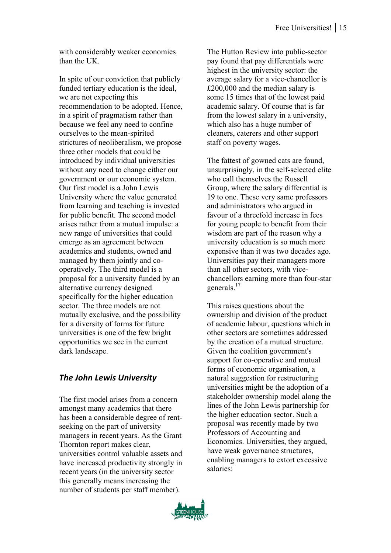with considerably weaker economies than the UK.

In spite of our conviction that publicly funded tertiary education is the ideal, we are not expecting this recommendation to be adopted. Hence, in a spirit of pragmatism rather than because we feel any need to confine ourselves to the mean-spirited strictures of neoliberalism, we propose three other models that could be introduced by individual universities without any need to change either our government or our economic system. Our first model is a John Lewis University where the value generated from learning and teaching is invested for public benefit. The second model arises rather from a mutual impulse: a new range of universities that could emerge as an agreement between academics and students, owned and managed by them jointly and cooperatively. The third model is a proposal for a university funded by an alternative currency designed specifically for the higher education sector. The three models are not mutually exclusive, and the possibility for a diversity of forms for future universities is one of the few bright opportunities we see in the current dark landscape.

#### *The John Lewis University*

The first model arises from a concern amongst many academics that there has been a considerable degree of rentseeking on the part of university managers in recent years. As the Grant Thornton report makes clear, universities control valuable assets and have increased productivity strongly in recent years (in the university sector this generally means increasing the number of students per staff member).

The Hutton Review into public-sector pay found that pay differentials were highest in the university sector: the average salary for a vice-chancellor is £200,000 and the median salary is some 15 times that of the lowest paid academic salary. Of course that is far from the lowest salary in a university, which also has a huge number of cleaners, caterers and other support staff on poverty wages.

The fattest of gowned cats are found, unsurprisingly, in the self-selected elite who call themselves the Russell Group, where the salary differential is 19 to one. These very same professors and administrators who argued in favour of a threefold increase in fees for young people to benefit from their wisdom are part of the reason why a university education is so much more expensive than it was two decades ago. Universities pay their managers more than all other sectors, with vicechancellors earning more than four-star generals<sup>17</sup>

This raises questions about the ownership and division of the product of academic labour, questions which in other sectors are sometimes addressed by the creation of a mutual structure. Given the coalition government's support for co-operative and mutual forms of economic organisation, a natural suggestion for restructuring universities might be the adoption of a stakeholder ownership model along the lines of the John Lewis partnership for the higher education sector. Such a proposal was recently made by two Professors of Accounting and Economics. Universities, they argued, have weak governance structures, enabling managers to extort excessive salaries:

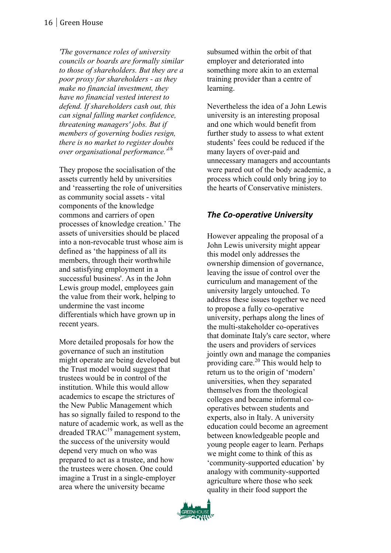*'The governance roles of university councils or boards are formally similar to those of shareholders. But they are a poor proxy for shareholders - as they make no financial investment, they have no financial vested interest to defend. If shareholders cash out, this can signal falling market confidence, threatening managers' jobs. But if members of governing bodies resign, there is no market to register doubts over organisational performance.'*<sup>18</sup>

They propose the socialisation of the assets currently held by universities and 'reasserting the role of universities as community social assets - vital components of the knowledge commons and carriers of open processes of knowledge creation.' The assets of universities should be placed into a non -revocable trust whose aim is defined as 'the happiness of all its members, through their worthwhile and satisfying employment in a successful business'. As in the John Lewis group model, employees gain the value from their work, helping to undermine the vast income differentials which have grown up in recent years.

More detailed proposals for how the governance of such an institution might operate are being developed but the Trust model would suggest that trustees would be in control of the institution. While this would allow academics to escape the strictures of the New Public Management which has so signally failed to respond to the nature of academic work, as well as the dreaded TRAC<sup>19</sup> management system, the success of the university would depend very much on who was prepared to act as a trustee, and how the trustees were chosen. One could imagine a Trust in a single -employer area where the university became

subsumed within the orbit of that employer and deteriorated into something more akin to an external training provider than a centre of learning.

Nevertheless the idea of a John Lewis university is an interesting proposal and one which would benefit from further study to assess to what extent students' fees could be reduced if the many layers of over -paid and unnecessary managers and accountants were pared out of the body academic, a process which could only bring joy to the hearts of Conservative ministers.

#### **The Co-operative University**

However appealing the proposal of a John Lewis university might appear this model only addresses the ownership dimension of governance, leaving the issue of control over the curriculum and management of the university largely untouched. To address these issues together we need to propose a fully co -operative university, perhaps along the lines of the multi -stakeholder co -operatives that dominate Italy's care sector, where the users and providers of services jointly own and manage the companies providing care. $20$  This would help to return us to the origin of 'modern' universities, when they separated themselves from the theological colleges and became informal co operatives between students and experts, also in Italy. A university education could become an agreement between knowledgeable people and young people eager to learn. Perhaps we might come to think of this as 'community -supported education' by analogy with community -supported agriculture where those who seek quality in their food support the

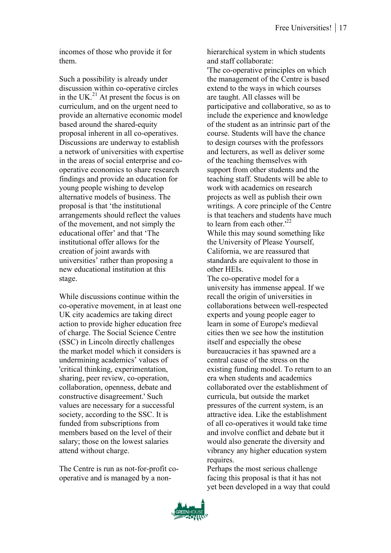incomes of those who provide it for them.

Such a possibility is already under discussion within co-operative circles in the UK. $^{21}$  At present the focus is on curriculum, and on the urgent need to provide an alternative economic model based around the shared-equity proposal inherent in all co-operatives. Discussions are underway to establish a network of universities with expertise in the areas of social enterprise and cooperative economics to share research findings and provide an education for young people wishing to develop alternative models of business. The proposal is that 'the institutional arrangements should reflect the values of the movement, and not simply the educational offer' and that 'The institutional offer allows for the creation of joint awards with universities' rather than proposing a new educational institution at this stage.

While discussions continue within the co-operative movement, in at least one UK city academics are taking direct action to provide higher education free of charge. The Social Science Centre (SSC) in Lincoln directly challenges the market model which it considers is undermining academics' values of 'critical thinking, experimentation, sharing, peer review, co-operation, collaboration, openness, debate and constructive disagreement.' Such values are necessary for a successful society, according to the SSC. It is funded from subscriptions from members based on the level of their salary; those on the lowest salaries attend without charge.

The Centre is run as not-for-profit cooperative and is managed by a nonhierarchical system in which students and staff collaborate:

'The co-operative principles on which the management of the Centre is based extend to the ways in which courses are taught. All classes will be participative and collaborative, so as to include the experience and knowledge of the student as an intrinsic part of the course. Students will have the chance to design courses with the professors and lecturers, as well as deliver some of the teaching themselves with support from other students and the teaching staff. Students will be able to work with academics on research projects as well as publish their own writings. A core principle of the Centre is that teachers and students have much to learn from each other  $122$ While this may sound something like the University of Please Yourself, California, we are reassured that standards are equivalent to those in other HEIs.

The co-operative model for a university has immense appeal. If we recall the origin of universities in collaborations between well-respected experts and young people eager to learn in some of Europe's medieval cities then we see how the institution itself and especially the obese bureaucracies it has spawned are a central cause of the stress on the existing funding model. To return to an era when students and academics collaborated over the establishment of curricula, but outside the market pressures of the current system, is an attractive idea. Like the establishment of all co-operatives it would take time and involve conflict and debate but it would also generate the diversity and vibrancy any higher education system requires.

Perhaps the most serious challenge facing this proposal is that it has not yet been developed in a way that could

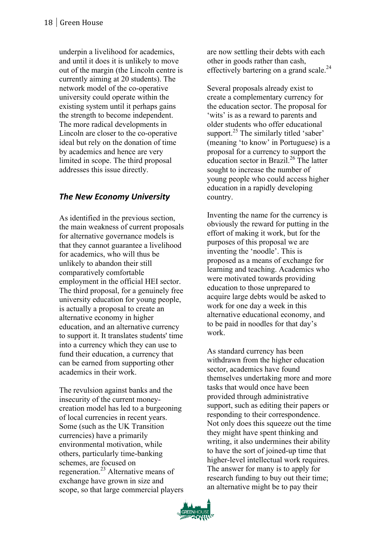underpin a livelihood for academics, and until it does it is unlikely to move out of the margin (the Lincoln centre is currently aiming at 20 students). The network model of the co -operative university could operate within the existing system until it perhaps gains the strength to become independent. The more radical developments in Lincoln are closer to the co -operative ideal but rely on the donation of time by academics and hence are very limited in scope. The third proposal addresses this issue directly.

#### **The New Economy University**

As identified in the previous section, the main weakness of current proposals for alternative governance models is that they cannot guarantee a livelihood for academics, who will thus be unlikely to abandon their still comparatively comfortable employment in the official HEI sector. The third proposal, for a genuinely free university education for young people, is actually a proposal to create an alternative economy in higher education, and an alternative currency to support it. It translates students' time into a currency which they can use to fund their education, a currency that can be earned from supporting other academics in their work.

The revulsion against banks and the insecurity of the current money creation model has led to a burgeoning of local currencies in recent years. Some (such as the UK Transition currencies) have a primarily environmental motivation, while others, particularly time -banking schemes, are focused on regeneration.23 Alternative means of exchange have grown in size and scope, so that large commercial players

are now settling their debts with each other in goods rather than cash, effectively bartering on a grand scale.<sup>24</sup>

Several proposals already exist to create a complementary currency for the education sector. The proposal for 'wits' is as a reward to parents and older students who offer educational support. $^{25}$  The similarly titled 'saber' (meaning 'to know' in Portuguese) is a proposal for a currency to support the education sector in Brazil.<sup>26</sup> The latter sought to increase the number of young people who could access higher education in a rapidly developing country.

Inventing the name for the currency is obviously the reward for putting in the effort of making it work, but for the purposes of this proposal we are inventing the 'noodle'. This is proposed as a means of exchange for learning and teaching. Academics who were motivated towards providing education to those unprepared to acquire large debts would be asked to work for one day a week in this alternative educational economy, and to be paid in noodles for that day's work.

As standard currency has been withdrawn from the higher education sector, academics have found themselves undertaking more and more tasks that would once have been provided through administrative support, such as editing their papers or responding to their correspondence. Not only does this squeeze out the time they might have spent thinking and writing, it also undermines their ability to have the sort of joined-up time that higher -level intellectual work requires. The answer for many is to apply for research funding to buy out their time; an alternative might be to pay their

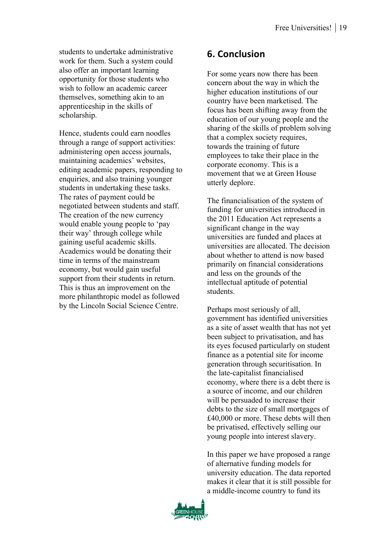students to undertake administrative work for them. Such a system could also offer an important learning opportunity for those students who wish to follow an academic career themselves, something akin to an apprenticeship in the skills of scholarship.

Hence, students could earn noodles through a range of support activities: administering open access journals, maintaining academics' websites, editing academic papers, responding to enquiries, and also training younger students in undertaking these tasks. The rates of payment could be negotiated between students and staff. The creation of the new currency would enable young people to 'pay their way' through college while gaining useful academic skills. Academics would be donating their time in terms of the mainstream economy, but would gain useful support from their students in return. This is thus an improvement on the more philanthropic model as followed by the Lincoln Social Science Centre.

## **6. Conclusion**

For some years now there has been concern about the way in which the higher education institutions of our country have been marketised. The focus has been shifting away from the education of our young people and the sharing of the skills of problem solving that a complex society requires, towards the training of future employees to take their place in the corporate economy. This is a movement that we at Green House utterly deplore.

The financialisation of the system of funding for universities introduced in the 2011 Education Act represents a significant change in the way universities are funded and places at universities are allocated. The decision about whether to attend is now based primarily on financial considerations and less on the grounds of the intellectual aptitude of potential students.

Perhaps most seriously of all, government has identified universities as a site of asset wealth that has not yet been subject to privatisation, and has its eyes focused particularly on student finance as a potential site for income generation through securitisation. In the late-capitalist financialised economy, where there is a debt there is a source of income, and our children will be persuaded to increase their debts to the size of small mortgages of £40,000 or more. These debts will then be privatised, effectively selling our young people into interest slavery.

In this paper we have proposed a range of alternative funding models for university education. The data reported makes it clear that it is still possible for a middle-income country to fund its

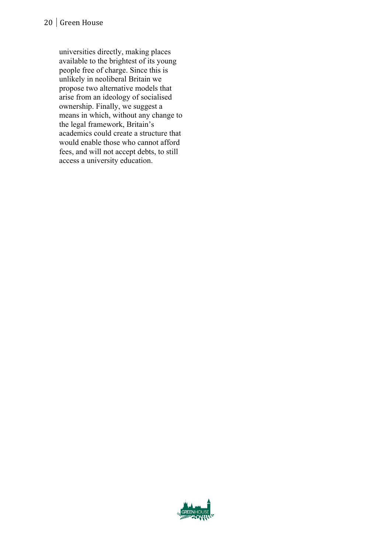#### 20 Green House

universities directly, making places available to the brightest of its young people free of charge. Since this is unlikely in neoliberal Britain we propose two alternative models that arise from an ideology of socialised ownership. Finally, we suggest a means in which, without any change to the legal framework, Britain's academics could create a structure that would enable those who cannot afford fees, and will not accept debts, to still access a university education.